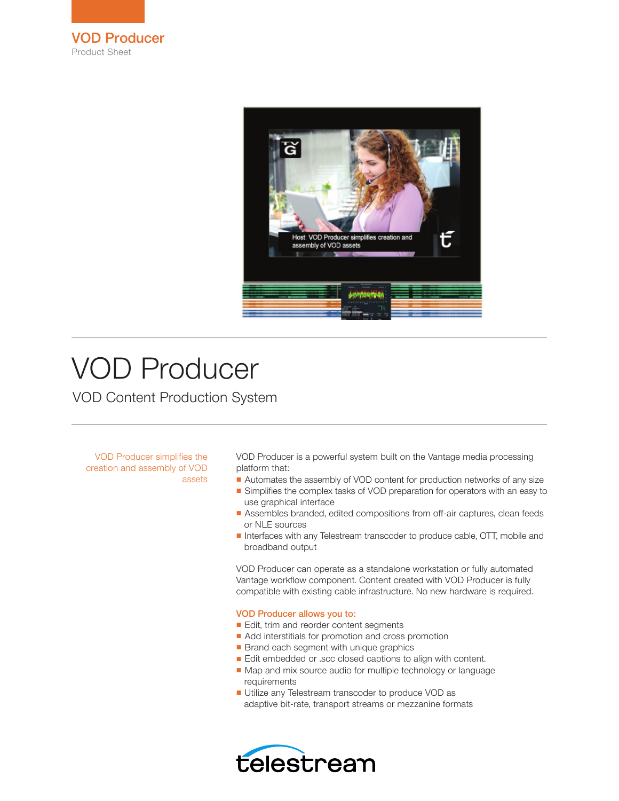



# VOD Producer

VOD Content Production System

VOD Producer simplifies the creation and assembly of VOD assets

VOD Producer is a powerful system built on the Vantage media processing platform that:

- Automates the assembly of VOD content for production networks of any size
- Simplifies the complex tasks of VOD preparation for operators with an easy to use graphical interface
- Assembles branded, edited compositions from off-air captures, clean feeds or NLE sources
- Interfaces with any Telestream transcoder to produce cable, OTT, mobile and broadband output

VOD Producer can operate as a standalone workstation or fully automated Vantage workflow component. Content created with VOD Producer is fully compatible with existing cable infrastructure. No new hardware is required.

### VOD Producer allows you to:

- Edit, trim and reorder content segments
- Add interstitials for promotion and cross promotion
- Brand each segment with unique graphics
- Edit embedded or .scc closed captions to align with content.
- Map and mix source audio for multiple technology or language requirements
- Utilize any Telestream transcoder to produce VOD as adaptive bit-rate, transport streams or mezzanine formats

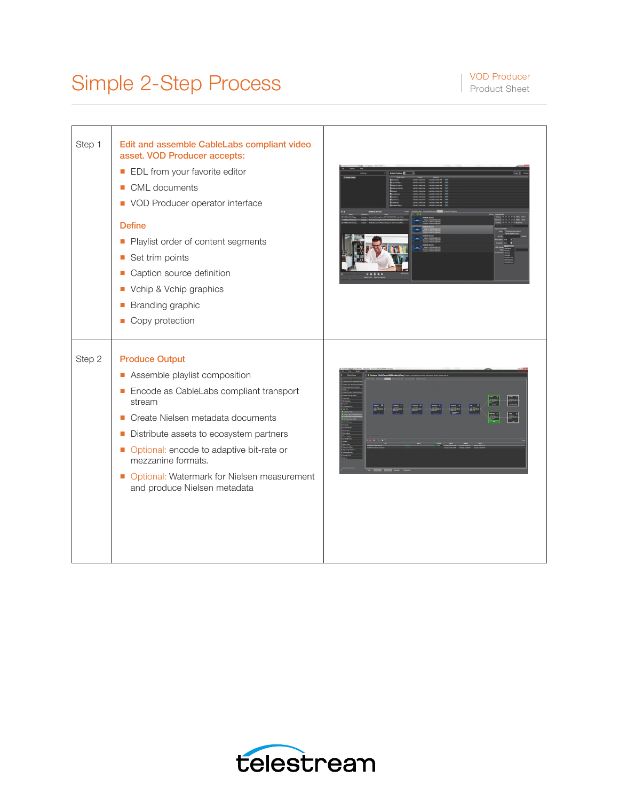## Simple 2-Step Process Product Sheet